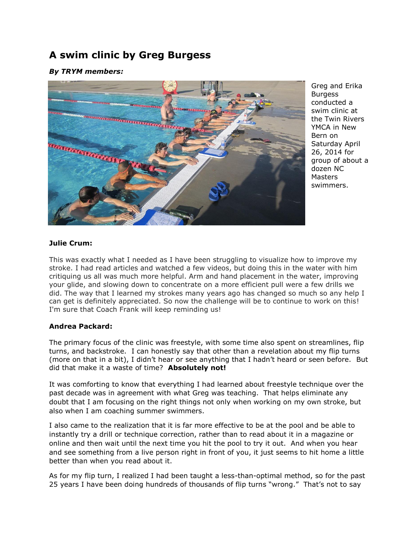# **A swim clinic by Greg Burgess**

## *By TRYM members:*



Greg and Erika Burgess conducted a swim clinic at the Twin Rivers YMCA in New Bern on Saturday April 26, 2014 for group of about a dozen NC **Masters** swimmers.

### **Julie Crum:**

This was exactly what I needed as I have been struggling to visualize how to improve my stroke. I had read articles and watched a few videos, but doing this in the water with him critiquing us all was much more helpful. Arm and hand placement in the water, improving your glide, and slowing down to concentrate on a more efficient pull were a few drills we did. The way that I learned my strokes many years ago has changed so much so any help I can get is definitely appreciated. So now the challenge will be to continue to work on this! I'm sure that Coach Frank will keep reminding us!

#### **Andrea Packard:**

The primary focus of the clinic was freestyle, with some time also spent on streamlines, flip turns, and backstroke. I can honestly say that other than a revelation about my flip turns (more on that in a bit), I didn't hear or see anything that I hadn't heard or seen before. But did that make it a waste of time? **Absolutely not!**

It was comforting to know that everything I had learned about freestyle technique over the past decade was in agreement with what Greg was teaching. That helps eliminate any doubt that I am focusing on the right things not only when working on my own stroke, but also when I am coaching summer swimmers.

I also came to the realization that it is far more effective to be at the pool and be able to instantly try a drill or technique correction, rather than to read about it in a magazine or online and then wait until the next time you hit the pool to try it out. And when you hear and see something from a live person right in front of you, it just seems to hit home a little better than when you read about it.

As for my flip turn, I realized I had been taught a less-than-optimal method, so for the past 25 years I have been doing hundreds of thousands of flip turns "wrong." That's not to say